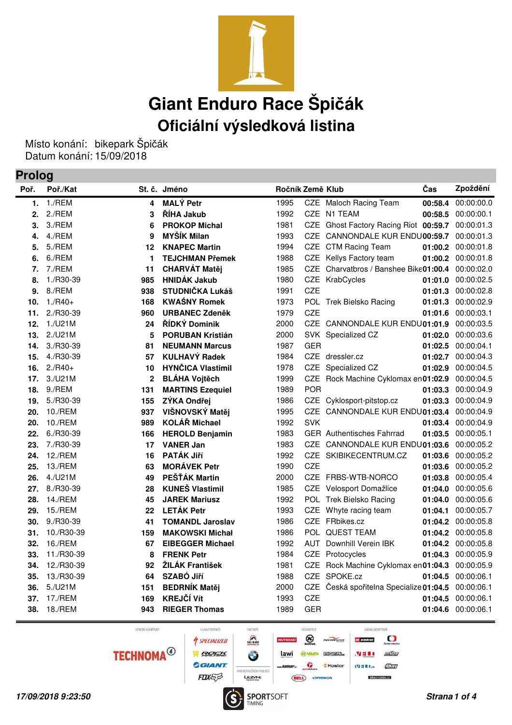

Místo konání: bikepark Špičák Datum konání: 15/09/2018

## **Prolog**

| Poř. | Poř./Kat   |              | St. č. Jméno             | Ročník Země Klub |            |                                         | Čas     | Zpoždění           |
|------|------------|--------------|--------------------------|------------------|------------|-----------------------------------------|---------|--------------------|
| 1.   | 1./REM     | 4            | <b>MALÝ Petr</b>         | 1995             |            | CZE Maloch Racing Team                  | 00:58.4 | 00:00:00.0         |
| 2.   | 2./REM     | 3            | ŘÍHA Jakub               | 1992             |            | CZE N1 TEAM                             | 00:58.5 | 00:00:00.1         |
| 3.   | 3./REM     | 6            | <b>PROKOP Michal</b>     | 1981             | CZE        | Ghost Factory Racing Riot 00:59.7       |         | 00:00:01.3         |
| 4.   | 4./REM     | 9            | <b>MYŠÍK Milan</b>       | 1993             |            | CZE CANNONDALE KUR ENDU00:59.7          |         | 00:00:01.3         |
| 5.   | 5./REM     | 12           | <b>KNAPEC Martin</b>     | 1994             |            | CZE CTM Racing Team                     | 01:00.2 | 00:00:01.8         |
| 6.   | 6./REM     | 1            | <b>TEJCHMAN Přemek</b>   | 1988             |            | CZE Kellys Factory team                 | 01:00.2 | 00:00:01.8         |
| 7.   | 7./REM     | 11           | <b>CHARVÁT Matěj</b>     | 1985             | CZE        | Charvatbros / Banshee Bike01:00.4       |         | 00:00:02.0         |
| 8.   | 1./R30-39  | 985          | <b>HNIDÁK Jakub</b>      | 1980             | CZE        | KrabCycles                              | 01:01.0 | 00:00:02.5         |
| 9.   | 8./REM     | 938          | <b>STUDNIČKA Lukáš</b>   | 1991             | <b>CZE</b> |                                         | 01:01.3 | 00:00:02.8         |
| 10.  | $1./R40+$  | 168          | <b>KWAŚNY Romek</b>      | 1973             |            | POL Trek Bielsko Racing                 | 01:01.3 | 00:00:02.9         |
| 11.  | 2./R30-39  | 960          | <b>URBANEC Zdeněk</b>    | 1979             | <b>CZE</b> |                                         | 01:01.6 | 00:00:03.1         |
| 12.  | 1./U21M    | 24           | ŘÍDKÝ Dominik            | 2000             |            | CZE CANNONDALE KUR ENDU01:01.9          |         | 00:00:03.5         |
| 13.  | 2./U21M    | 5            | <b>PORUBAN Kristián</b>  | 2000             |            | SVK Specialized CZ                      | 01:02.0 | 00:00:03.6         |
| 14.  | 3./R30-39  | 81           | <b>NEUMANN Marcus</b>    | 1987             | <b>GER</b> |                                         | 01:02.5 | 00:00:04.1         |
| 15.  | 4./R30-39  | 57           | <b>KULHAVÝ Radek</b>     | 1984             |            | CZE dressler.cz                         | 01:02.7 | 00:00:04.3         |
| 16.  | $2./R40+$  | 10           | <b>HYNČICA Vlastimil</b> | 1978             | <b>CZE</b> | Specialized CZ                          | 01:02.9 | 00:00:04.5         |
| 17.  | 3./U21M    | $\mathbf{2}$ | <b>BLÁHA Vojtěch</b>     | 1999             | <b>CZE</b> | Rock Machine Cyklomax en01:02.9         |         | 00:00:04.5         |
| 18.  | 9./REM     | 131          | <b>MARTINS Ezequiel</b>  | 1989             | <b>POR</b> |                                         | 01:03.3 | 00:00:04.9         |
| 19.  | 5./R30-39  | 155          | ZÝKA Ondřej              | 1986             | <b>CZE</b> | Cyklosport-pitstop.cz                   | 01:03.3 | 00:00:04.9         |
| 20.  | 10./REM    | 937          | VIŠNOVSKÝ Matěj          | 1995             | <b>CZE</b> | CANNONDALE KUR ENDU01:03.4              |         | 00:00:04.9         |
| 20.  | 10./REM    | 989          | <b>KOLÁŘ Michael</b>     | 1992             | <b>SVK</b> |                                         | 01:03.4 | 00:00:04.9         |
| 22.  | 6./R30-39  | 166          | <b>HEROLD Benjamin</b>   | 1983             |            | <b>GER</b> Authentisches Fahrrad        | 01:03.5 | 00:00:05.1         |
| 23.  | 7./R30-39  | 17           | <b>VANER Jan</b>         | 1983             | CZE        | CANNONDALE KUR ENDU01:03.6              |         | 00:00:05.2         |
| 24.  | 12./REM    | 16           | PATÁK Jiří               | 1992             | <b>CZE</b> | SKIBIKECENTRUM.CZ                       | 01:03.6 | 00:00:05.2         |
| 25.  | 13./REM    | 63           | <b>MORÁVEK Petr</b>      | 1990             | CZE        |                                         | 01:03.6 | 00:00:05.2         |
| 26.  | 4./U21M    | 49           | PEŠŤÁK Martin            | 2000             |            | CZE FRBS-WTB-NORCO                      | 01:03.8 | 00:00:05.4         |
| 27.  | 8./R30-39  | 28           | <b>KUNEŠ Vlastimil</b>   | 1985             |            | CZE Velosport Domažlice                 | 01:04.0 | 00:00:05.6         |
| 28.  | 14./REM    | 45           | <b>JAREK Mariusz</b>     | 1992             |            | POL Trek Bielsko Racing                 | 01:04.0 | 00:00:05.6         |
| 29.  | 15./REM    | 22           | <b>LETÁK Petr</b>        | 1993             |            | CZE Whyte racing team                   | 01:04.1 | 00:00:05.7         |
| 30.  | 9./R30-39  | 41           | <b>TOMANDL Jaroslav</b>  | 1986             |            | CZE FRbikes.cz                          | 01:04.2 | 00:00:05.8         |
| 31.  | 10./R30-39 | 159          | <b>MAKOWSKI Michał</b>   | 1986             |            | POL QUEST TEAM                          | 01:04.2 | 00:00:05.8         |
| 32.  | 16./REM    | 67           | <b>EIBEGGER Michael</b>  | 1992             | AUT        | Downhill Verein IBK                     | 01:04.2 | 00:00:05.8         |
| 33.  | 11./R30-39 | 8            | <b>FRENK Petr</b>        | 1984             | CZE        | Protocycles                             | 01:04.3 | 00:00:05.9         |
| 34.  | 12./R30-39 | 92           | ŽILÁK František          | 1981             | CZE        | Rock Machine Cyklomax en01:04.3         |         | 00:00:05.9         |
| 35.  | 13./R30-39 | 64           | <b>SZABÓ Jiří</b>        | 1988             | <b>CZE</b> | SPOKE.cz                                | 01:04.5 | 00:00:06.1         |
| 36.  | 5./U21M    | 151          | <b>BEDRNÍK Matěj</b>     | 2000             |            | CZE Česká spořitelna Specialize 01:04.5 |         | 00:00:06.1         |
| 37.  | 17./REM    | 169          | <b>KREJČÍ Vít</b>        | 1993             | CZE        |                                         | 01:04.5 | 00:00:06.1         |
| 38.  | 18./REM    | 943          | <b>RIEGER Thomas</b>     | 1989             | <b>GER</b> |                                         |         | 01:04.6 00:00:06.1 |

GENERÁLNÍ PARTNER

**4 SPECIALIZED R** SEFINE **GIANT** FOXES

HLAVNÍ PARTNEŘI



PARTNER

 $\bigotimes_{SKI\ BIKE}$ 

DODAVATELÉ

 $\circledcirc$ 

 $\hat{\mathbf{v}}$ 

**ANNEN** ENERL

ORBEA

NOROO

**Kastar** 

MEDIÁLNÍ PARTNEŘI  $\Omega$ **ры рілконе**  $\mu$ <sup>75</sup>  $M \equiv 0.1$ 

## $\overline{M}$  III I.cz Chay

bikeandride.cz

**17/09/2018 9:23:50 Strana 1 of 4 SPORTSOFT SUBSERVITY Strangers and Strana 1 of 4**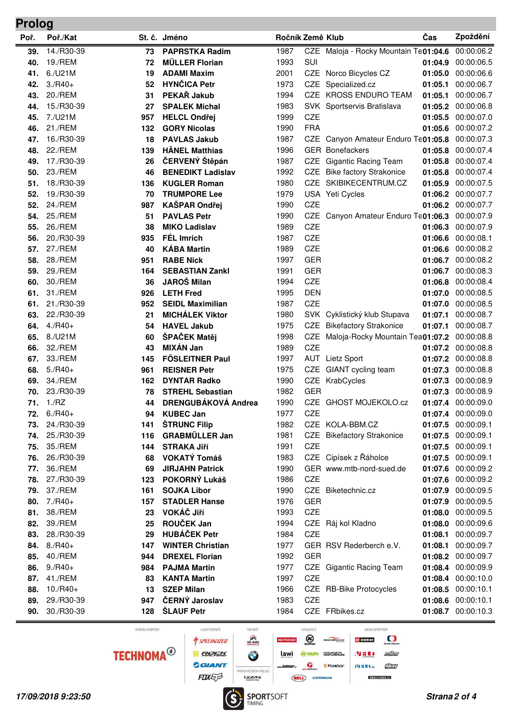## **Poř. Poř./Kat St. č. Jméno Ročník Země Klub Čas Zpoždění Prolog 39.** 14./R30-39 **73 PAPRSTKA Radim** 1987 CZE Maloja - Rocky Mountain Te01:04.6 00:00:06.2 **40. MÜLLER Florian** 19./REM **72** 1993 SUI **01:04.9** 00:00:06.5 **41. ADAMI Maxim** 6./U21M **19** 2001 CZE Norco Bicycles CZ **01:05.0** 00:00:06.6 **42. HYN** 3./R40+ **52 ČICA Petr** 1973 CZE Specialized.cz **01:05.1** 00:00:06.7 **43. PEKA** 20./REM **31 Ř Jakub** 1994 CZE KROSS ENDURO TEAM **01:05.1** 00:00:06.7 **44. SPALEK Michal** 15./R30-39 **27** 1983 SVK Sportservis Bratislava **01:05.2** 00:00:06.8 **45. HELCL Ond** 7./U21M **957 řej** 1999 CZE **01:05.5** 00:00:07.0 **46. GORY Nicolas** 21./REM **132** 1990 FRA **01:05.6** 00:00:07.2 **47.** 16./R30-39 **18 PAVLAS Jakub** 1987 CZE Canyon Amateur Enduro Te01:05.8 00:00:07.3 **48. HÄNEL Matthias** 22./REM **139** 1996 GER Bonefackers **01:05.8** 00:00:07.4 **49.** 17./R30-39 **26 ČERVENÝ Štěpán** 1987 CZE Gigantic Racing Team **01:05.8** 00:00:07.4 **50. BENEDIKT Ladislav** 23./REM **46** 1992 CZE Bike factory Strakonice **01:05.8** 00:00:07.4 **51. KUGLER Roman** 18./R30-39 **136** 1980 CZE SKIBIKECENTRUM.CZ **01:05.9** 00:00:07.5 **52. TRUMPORE Lee** 19./R30-39 **70** 1979 USA Yeti Cycles **01:06.2** 00:00:07.7 **52. KAŠPAR Ond** 24./REM **987 řej** 1990 CZE **01:06.2** 00:00:07.7 **54. 25./REM 51 PAVLAS Petr** 1990 CZE Canyon Amateur Enduro Te01:06.3 00:00:07.9 **55. MIKO Ladislav** 26./REM **38** 1989 CZE **01:06.3** 00:00:07.9 **56. FÉL Imrich** 20./R30-39 **935** 1987 CZE **01:06.6** 00:00:08.1 **57. KÁBA Martin** 27./REM **40** 1989 CZE **01:06.6** 00:00:08.2 **58. RABE Nick** 28./REM **951** 1997 GER **01:06.7** 00:00:08.2 **59. SEBASTIAN Zankl** 29./REM **164** 1991 GER **01:06.7** 00:00:08.3 **60. JAROŠ Milan** 30./REM **36** 1994 CZE **01:06.8** 00:00:08.4 **61. LETH Fred** 31./REM **926** 1995 DEN **01:07.0** 00:00:08.5 **61. SEIDL Maximilian** 21./R30-39 **952** 1987 CZE **01:07.0** 00:00:08.5 **63. MICHÁLEK Viktor** 22./R30-39 **21** 1980 SVK Cyklistický klub Stupava **01:07.1** 00:00:08.7 **64. HAVEL Jakub** 4./R40+ **54** 1975 CZE Bikefactory Strakonice **01:07.1** 00:00:08.7 **65. ŠPA** 8./U21M **60 ČEK Matěj** 1998 CZE Maloja-Rocky Mountain Team**01:07.2** 00:00:08.8 **66. MIXÁN Jan** 32./REM **43** 1989 CZE **01:07.2** 00:00:08.8 **67. FÖSLEITNER Paul** 33./REM **145** 1997 AUT Lietz Sport **01:07.2** 00:00:08.8 **68. REISNER Petr** 5./R40+ **961** 1975 CZE GIANT cycling team **01:07.3** 00:00:08.8 **69. DYNTAR Radko** 34./REM **162** 1990 CZE KrabCycles **01:07.3** 00:00:08.9 **70. STREHL Sebastian** 23./R30-39 **78** 1982 GER **01:07.3** 00:00:08.9 **71. DRENGUBÁKOVÁ Andrea** 1./RZ **44** 1990 CZE GHOST MOJEKOLO.cz **01:07.4** 00:00:09.0 **72. KUBEC Jan** 6./R40+ **94** 1977 CZE **01:07.4** 00:00:09.0 **73.**  $24/\text{R}30-39$  **141 ŠTRUNC Filip** 1982 CZE KOLA-BBM.CZ **01:07.5** 00:00:09.1 **74. GRABMÜLLER Jan** 25./R30-39 **116** 1981 CZE Bikefactory Strakonice **01:07.5** 00:00:09.1 **75. STRAKA Ji** 35./REM **144 ří** 1991 CZE **01:07.5** 00:00:09.1 **76. VOKATÝ Tomáš** 26./R30-39 **68** 1983 CZE Cipísek z Řáholce **01:07.5** 00:00:09.1 **77. JIRJAHN Patrick** 36./REM **69** 1990 GER www.mtb-nord-sued.de **01:07.6** 00:00:09.2 **78. POKORNÝ Lukáš** 27./R30-39 **123** 1986 CZE **01:07.6** 00:00:09.2 **79. SOJKA Libor** 37./REM **161** 1990 CZE Biketechnic.cz **01:07.9** 00:00:09.5 **80. STADLER Hanse** 7./R40+ **157** 1976 GER **01:07.9** 00:00:09.5 **81. VOKÁ** 38./REM **23 Č Jiří** 1993 CZE **01:08.0** 00:00:09.5 **82. ROU** 39./REM **25 ČEK Jan** 1994 CZE Ráj kol Kladno **01:08.0** 00:00:09.6 **83. HUBÁ** 28./R30-39 **29 ČEK Petr** 1984 CZE **01:08.1** 00:00:09.7 **84. WINTER Christian** 8./R40+ **147** 1977 GER RSV Rederberch e.V. **01:08.1** 00:00:09.7 **85. DREXEL Florian** 40./REM **944** 1992 GER **01:08.2** 00:00:09.7 **86.** 9./R40+ **984 PAJMA Martin** 1977 CZE Gigantic Racing Team **01:08.4** 00:00:09.9 **87. KANTA Martin** 41./REM **83** 1997 CZE **01:08.4** 00:00:10.0 **88. SZEP Milan** 10./R40+ **13** 1966 CZE RB-Bike Protocycles **01:08.5** 00:00:10.1 **89.** 29./R30-39 **947 ČERNÝ Jaroslav** 1983 CZE **01:08.6** 00:00:10.1

**TECHNOMA<sup>@</sup>** 

GENERÁLNÍ PARTNER

**4 SPECIALIZED ROCK GEANT** 

HLAVNÍ PARTNEŘI

 $\mathbb{R}$  $\bullet$ INER NOČNÍCH PROLOGI FOXER LEZWE

**90. ŠLAUF Petr** 30./R30-39 **128** 1984 CZE FRbikes.cz **01:08.7** 00:00:10.3

PARTNER

⊗ ROO **BA HAVEN** EMERIL ŵ **S** Kastar

ORI

**DODAWIELE** 

lawi

**BELL** 

MEDIÁLNÍ PARTNEŘI  $\mathbf C$ oh overbure  $101755$  $M \equiv 0$ 

bikean

 $CT<sub>37</sub>$ 

 $M \equiv 16$ 

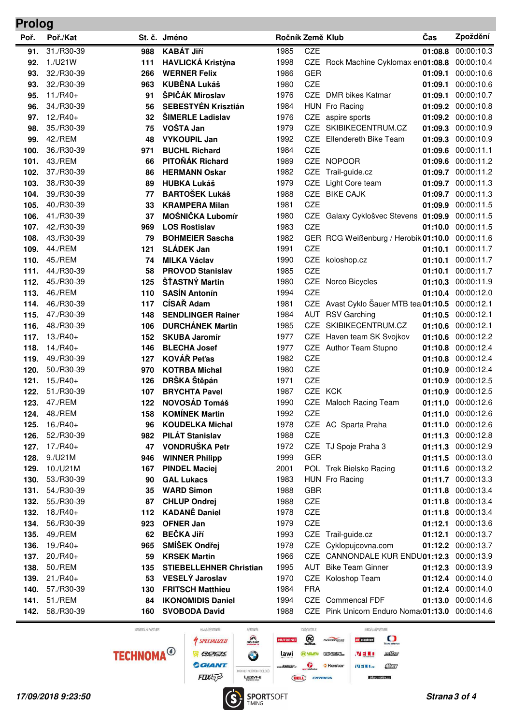| Proloa |  |  |  |
|--------|--|--|--|
|        |  |  |  |

| $\sim$<br>Poř. | Poř./Kat   |            | St. č. Jméno                   | Ročník Země Klub |            |                                                 | Čas     | Zpoždění           |
|----------------|------------|------------|--------------------------------|------------------|------------|-------------------------------------------------|---------|--------------------|
|                | 31./R30-39 | 988        | <b>KABÁT Jiří</b>              | 1985             | CZE        |                                                 | 01:08.8 | 00:00:10.3         |
| 91.            | 1./U21W    |            | <b>HAVLICKÁ Kristýna</b>       | 1998             |            | CZE Rock Machine Cyklomax en01:08.8             |         | 00:00:10.4         |
| 92.<br>93.     | 32./R30-39 | 111<br>266 | <b>WERNER Felix</b>            | 1986             | <b>GER</b> |                                                 | 01:09.1 | 00:00:10.6         |
| 93.            | 32./R30-39 | 963        | <b>KUBĚNA Lukáš</b>            | 1980             | <b>CZE</b> |                                                 | 01:09.1 | 00:00:10.6         |
| 95.            | $11./R40+$ | 91         | ŠPIČÁK Miroslav                | 1976             |            | CZE DMR bikes Katmar                            | 01:09.1 | 00:00:10.7         |
| 96.            | 34./R30-39 | 56         | <b>SEBESTYÉN Krisztián</b>     | 1984             |            | HUN Fro Racing                                  |         | 01:09.2 00:00:10.8 |
| 97.            | $12./R40+$ | 32         | <b>ŠIMERLE Ladislav</b>        | 1976             | CZE        | aspire sports                                   |         | 01:09.2 00:00:10.8 |
| 98.            | 35./R30-39 | 75         | VOŠTA Jan                      | 1979             | CZE        | SKIBIKECENTRUM.CZ                               | 01:09.3 | 00:00:10.9         |
| 99.            | 42./REM    | 48         | <b>VYKOUPIL Jan</b>            | 1992             |            | CZE Ellendereth Bike Team                       | 01:09.3 | 00:00:10.9         |
| 100.           | 36./R30-39 | 971        | <b>BUCHL Richard</b>           | 1984             | CZE        |                                                 |         | 01:09.6 00:00:11.1 |
| 101.           | 43./REM    | 66         | PITOŇÁK Richard                | 1989             | CZE        | <b>NOPOOR</b>                                   | 01:09.6 | 00:00:11.2         |
| 102.           | 37./R30-39 | 86         | <b>HERMANN Oskar</b>           | 1982             | <b>CZE</b> | Trail-guide.cz                                  |         | 01:09.7 00:00:11.2 |
| 103.           | 38./R30-39 | 89         | <b>HUBKA Lukáš</b>             | 1979             | <b>CZE</b> | Light Core team                                 | 01:09.7 | 00:00:11.3         |
| 104.           | 39./R30-39 | 77         | <b>BARTOŠEK Lukáš</b>          | 1988             |            | CZE BIKE CAJK                                   | 01:09.7 | 00:00:11.3         |
| 105.           | 40./R30-39 | 33         | <b>KRAMPERA Milan</b>          | 1981             | <b>CZE</b> |                                                 | 01:09.9 | 00:00:11.5         |
| 106.           | 41./R30-39 | 37         | MOŠNIČKA Lubomír               | 1980             |            | CZE Galaxy Cyklošvec Stevens 01:09.9            |         | 00:00:11.5         |
| 107.           | 42./R30-39 | 969        | <b>LOS Rostislav</b>           | 1983             | <b>CZE</b> |                                                 | 01:10.0 | 00:00:11.5         |
| 108.           | 43./R30-39 | 79         | <b>BOHMEIER Sascha</b>         | 1982             |            | GER RCG Weißenburg / Herobik 01:10.0            |         | 00:00:11.6         |
| 109.           | 44./REM    | 121        | <b>SLÁDEK Jan</b>              | 1991             | <b>CZE</b> |                                                 | 01:10.1 | 00:00:11.7         |
| 110.           | 45./REM    | 74         | <b>MILKA Václav</b>            | 1990             |            | CZE koloshop.cz                                 | 01:10.1 | 00:00:11.7         |
| 111.           | 44./R30-39 | 58         | <b>PROVOD Stanislav</b>        | 1985             | <b>CZE</b> |                                                 | 01:10.1 | 00:00:11.7         |
| 112.           | 45./R30-39 | 125        | ŠŤASTNÝ Martin                 | 1980             |            | CZE Norco Bicycles                              |         | 01:10.3 00:00:11.9 |
| 113.           | 46./REM    | 110        | <b>SASÍN Antonín</b>           | 1994             | <b>CZE</b> |                                                 |         | 01:10.4 00:00:12.0 |
| 114.           | 46./R30-39 | 117        | CÍSAŘ Adam                     | 1981             |            | CZE Avast Cyklo Šauer MTB tea 01:10.5           |         | 00:00:12.1         |
| 115.           | 47./R30-39 | 148        | <b>SENDLINGER Rainer</b>       | 1984             | AUT        | <b>RSV Garching</b>                             |         | 01:10.5 00:00:12.1 |
| 116.           | 48./R30-39 | 106        | <b>DURCHÁNEK Martin</b>        | 1985             | CZE        | SKIBIKECENTRUM.CZ                               | 01:10.6 | 00:00:12.1         |
| 117.           | $13./R40+$ | 152        | <b>SKUBA Jaromír</b>           | 1977             | CZE        | Haven team SK Svojkov                           | 01:10.6 | 00:00:12.2         |
| 118.           | $14./R40+$ | 146        | <b>BLECHA Josef</b>            | 1977             |            | CZE Author Team Stupno                          | 01:10.8 | 00:00:12.4         |
| 119.           | 49./R30-39 | 127        | <b>KOVÁŘ Peťas</b>             | 1982             | CZE        |                                                 | 01:10.8 | 00:00:12.4         |
| 120.           | 50./R30-39 | 970        | <b>KOTRBA Michal</b>           | 1980             | CZE        |                                                 | 01:10.9 | 00:00:12.4         |
| 121.           | $15./R40+$ | 126        | DRŠKA Štěpán                   | 1971             | <b>CZE</b> |                                                 | 01:10.9 | 00:00:12.5         |
| 122.           | 51./R30-39 | 107        | <b>BRYCHTA Pavel</b>           | 1987             | CZE KCK    |                                                 | 01:10.9 | 00:00:12.5         |
| 123.           | 47./REM    | 122        | <b>NOVOSÁD Tomáš</b>           | 1990             |            | CZE Maloch Racing Team                          |         | 01:11.0 00:00:12.6 |
| 124.           | 48./REM    | 158        | <b>KOMÍNEK Martin</b>          | 1992             | <b>CZE</b> |                                                 |         | 01:11.0 00:00:12.6 |
| 125.           | $16./R40+$ | 96         | <b>KOUDELKA Michal</b>         | 1978             |            | CZE AC Sparta Praha                             |         | 01:11.0 00:00:12.6 |
| 126.           | 52./R30-39 | 982        | <b>PILÁT Stanislav</b>         | 1988             | CZE        |                                                 |         | 01:11.3 00:00:12.8 |
| 127.           | $17./R40+$ | 47         | <b>VONDRUŠKA Petr</b>          | 1972             |            | CZE TJ Spoje Praha 3                            |         | 01:11.3 00:00:12.9 |
| 128.           | 9./U21M    | 946        | <b>WINNER Philipp</b>          | 1999             | <b>GER</b> |                                                 |         | 01:11.5 00:00:13.0 |
| 129.           | 10./U21M   | 167        | <b>PINDEL Maciej</b>           | 2001             |            | POL Trek Bielsko Racing                         |         | 01:11.6 00:00:13.2 |
| 130.           | 53./R30-39 | 90         | <b>GAL Lukacs</b>              | 1983             |            | HUN Fro Racing                                  |         | 01:11.7 00:00:13.3 |
| 131.           | 54./R30-39 | 35         | <b>WARD Simon</b>              | 1988             | <b>GBR</b> |                                                 |         | 01:11.8 00:00:13.4 |
| 132.           | 55./R30-39 | 87         | <b>CHLUP Ondrej</b>            | 1988             | CZE        |                                                 |         | 01:11.8 00:00:13.4 |
| 132.           | $18./R40+$ | 112        | <b>KADANĚ Daniel</b>           | 1978             | CZE        |                                                 |         | 01:11.8 00:00:13.4 |
| 134.           | 56./R30-39 | 923        | <b>OFNER Jan</b>               | 1979             | CZE        |                                                 |         | 01:12.1 00:00:13.6 |
| 135.           | 49./REM    | 62         | <b>BEČKA Jiří</b>              | 1993             |            | CZE Trail-guide.cz                              | 01:12.1 | 00:00:13.7         |
| 136.           | $19./R40+$ | 965        | SMÍŠEK Ondřej                  | 1978             | CZE        | Cyklopujcovna.com                               |         | 01:12.2 00:00:13.7 |
| 137.           | $20./R40+$ | 59         | <b>KRSEK Martin</b>            | 1966             | CZE        | CANNONDALE KUR ENDU01:12.3 00:00:13.9           |         |                    |
| 138.           | 50./REM    | 135        | <b>STIEBELLEHNER Christian</b> | 1995             | AUT        | <b>Bike Team Ginner</b>                         |         | 01:12.3 00:00:13.9 |
| 139.           | $21./R40+$ | 53         | <b>VESELÝ Jaroslav</b>         | 1970             | CZE        | Koloshop Team                                   |         | 01:12.4 00:00:14.0 |
| 140.           | 57./R30-39 | 130        | <b>FRITSCH Matthieu</b>        | 1984             | <b>FRA</b> |                                                 |         | 01:12.4 00:00:14.0 |
| 141.           | 51./REM    | 84         | <b>IKONOMIDIS Daniel</b>       | 1994             | CZE        | Commencal FDF                                   |         | 01:13.0 00:00:14.6 |
| 142.           | 58./R30-39 | 160        | <b>SVOBODA David</b>           | 1988             |            | CZE Pink Unicorn Enduro Noma 01:13.0 00:00:14.6 |         |                    |

GENERÁLNÍ PARTNER

HLAVNÍ PARTNEŘI **SPECIALIZED RACETAS GGIANT** FOXES



DODAVATELÉ

**BELL** ORBEA